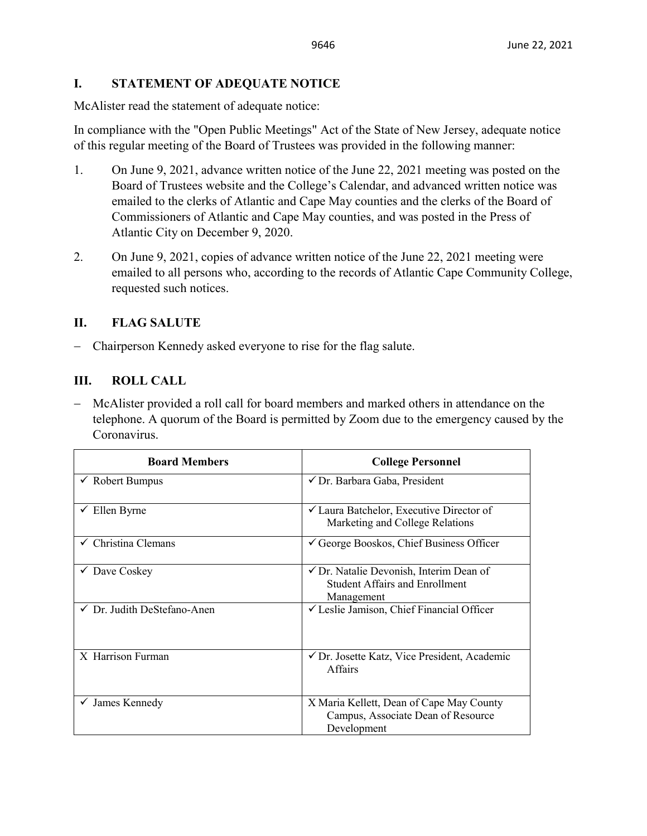## **I. STATEMENT OF ADEQUATE NOTICE**

McAlister read the statement of adequate notice:

In compliance with the "Open Public Meetings" Act of the State of New Jersey, adequate notice of this regular meeting of the Board of Trustees was provided in the following manner:

- 1. On June 9, 2021, advance written notice of the June 22, 2021 meeting was posted on the Board of Trustees website and the College's Calendar, and advanced written notice was emailed to the clerks of Atlantic and Cape May counties and the clerks of the Board of Commissioners of Atlantic and Cape May counties, and was posted in the Press of Atlantic City on December 9, 2020.
- 2. On June 9, 2021, copies of advance written notice of the June 22, 2021 meeting were emailed to all persons who, according to the records of Atlantic Cape Community College, requested such notices.

# **II. FLAG SALUTE**

− Chairperson Kennedy asked everyone to rise for the flag salute.

## **III. ROLL CALL**

− McAlister provided a roll call for board members and marked others in attendance on the telephone. A quorum of the Board is permitted by Zoom due to the emergency caused by the Coronavirus.

| <b>Board Members</b>                   | <b>College Personnel</b>                                                                                  |
|----------------------------------------|-----------------------------------------------------------------------------------------------------------|
| $\checkmark$ Robert Bumpus             | √ Dr. Barbara Gaba, President                                                                             |
| Ellen Byrne                            | ✔ Laura Batchelor, Executive Director of<br>Marketing and College Relations                               |
| $\checkmark$ Christina Clemans         | $\checkmark$ George Booskos, Chief Business Officer                                                       |
| Dave Coskey                            | $\checkmark$ Dr. Natalie Devonish, Interim Dean of<br><b>Student Affairs and Enrollment</b><br>Management |
| $\checkmark$ Dr. Judith DeStefano-Anen | └ Leslie Jamison, Chief Financial Officer                                                                 |
| X Harrison Furman                      | $\checkmark$ Dr. Josette Katz, Vice President, Academic<br>Affairs                                        |
| $\checkmark$ James Kennedy             | X Maria Kellett, Dean of Cape May County<br>Campus, Associate Dean of Resource<br>Development             |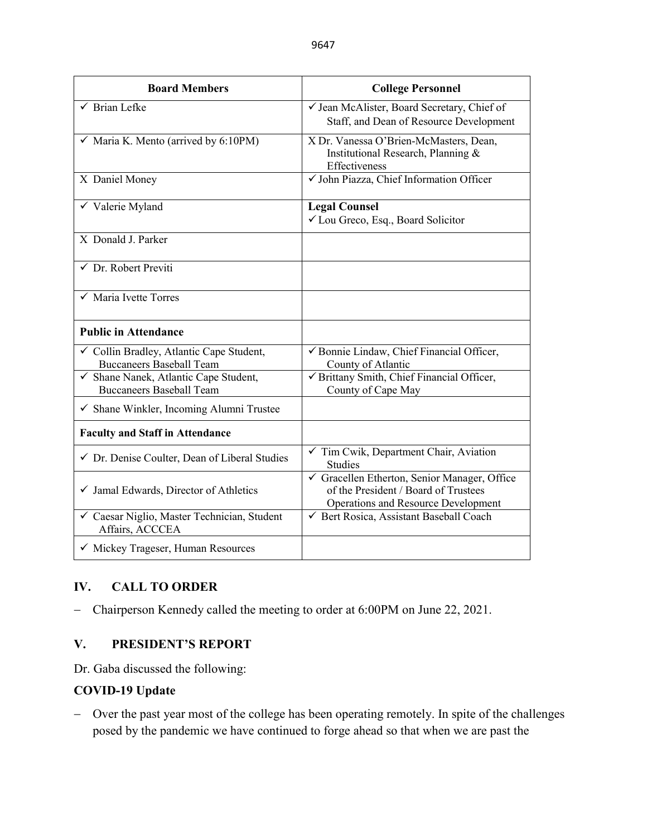| <b>Board Members</b>                                                        | <b>College Personnel</b>                                                                                                  |
|-----------------------------------------------------------------------------|---------------------------------------------------------------------------------------------------------------------------|
| $\checkmark$ Brian Lefke                                                    | √ Jean McAlister, Board Secretary, Chief of<br>Staff, and Dean of Resource Development                                    |
| $\checkmark$ Maria K. Mento (arrived by 6:10PM)                             | X Dr. Vanessa O'Brien-McMasters, Dean,<br>Institutional Research, Planning &<br>Effectiveness                             |
| X Daniel Money                                                              | V John Piazza, Chief Information Officer                                                                                  |
| $\checkmark$ Valerie Myland                                                 | <b>Legal Counsel</b><br>✓ Lou Greco, Esq., Board Solicitor                                                                |
| X Donald J. Parker                                                          |                                                                                                                           |
| $\checkmark$ Dr. Robert Previti                                             |                                                                                                                           |
| $\checkmark$ Maria Ivette Torres                                            |                                                                                                                           |
| <b>Public in Attendance</b>                                                 |                                                                                                                           |
| ✓ Collin Bradley, Atlantic Cape Student,<br><b>Buccaneers Baseball Team</b> | √ Bonnie Lindaw, Chief Financial Officer,<br>County of Atlantic                                                           |
| √ Shane Nanek, Atlantic Cape Student,<br><b>Buccaneers Baseball Team</b>    | √ Brittany Smith, Chief Financial Officer,<br>County of Cape May                                                          |
| $\checkmark$ Shane Winkler, Incoming Alumni Trustee                         |                                                                                                                           |
| <b>Faculty and Staff in Attendance</b>                                      |                                                                                                                           |
| ✔ Dr. Denise Coulter, Dean of Liberal Studies                               | $\checkmark$ Tim Cwik, Department Chair, Aviation<br><b>Studies</b>                                                       |
| $\checkmark$ Jamal Edwards, Director of Athletics                           | Gracellen Etherton, Senior Manager, Office<br>of the President / Board of Trustees<br>Operations and Resource Development |
| ✓ Caesar Niglio, Master Technician, Student<br>Affairs, ACCCEA              | ← Bert Rosica, Assistant Baseball Coach                                                                                   |
| √ Mickey Trageser, Human Resources                                          |                                                                                                                           |

# **IV. CALL TO ORDER**

− Chairperson Kennedy called the meeting to order at 6:00PM on June 22, 2021.

## **V. PRESIDENT'S REPORT**

Dr. Gaba discussed the following:

## **COVID-19 Update**

− Over the past year most of the college has been operating remotely. In spite of the challenges posed by the pandemic we have continued to forge ahead so that when we are past the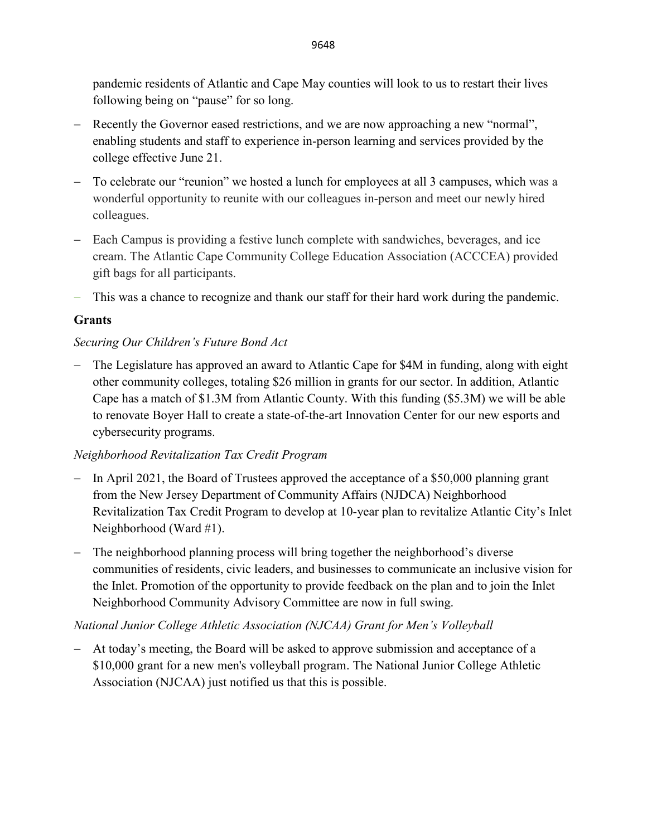pandemic residents of Atlantic and Cape May counties will look to us to restart their lives following being on "pause" for so long.

- − Recently the Governor eased restrictions, and we are now approaching a new "normal", enabling students and staff to experience in-person learning and services provided by the college effective June 21.
- − To celebrate our "reunion" we hosted a lunch for employees at all 3 campuses, which was a wonderful opportunity to reunite with our colleagues in-person and meet our newly hired colleagues.
- − Each Campus is providing a festive lunch complete with sandwiches, beverages, and ice cream. The Atlantic Cape Community College Education Association (ACCCEA) provided gift bags for all participants.
- − This was a chance to recognize and thank our staff for their hard work during the pandemic.

# **Grants**

## *Securing Our Children's Future Bond Act*

− The Legislature has approved an award to Atlantic Cape for \$4M in funding, along with eight other community colleges, totaling \$26 million in grants for our sector. In addition, Atlantic Cape has a match of \$1.3M from Atlantic County. With this funding (\$5.3M) we will be able to renovate Boyer Hall to create a state-of-the-art Innovation Center for our new esports and cybersecurity programs.

## *Neighborhood Revitalization Tax Credit Program*

- − In April 2021, the Board of Trustees approved the acceptance of a \$50,000 planning grant from the New Jersey Department of Community Affairs (NJDCA) Neighborhood Revitalization Tax Credit Program to develop at 10-year plan to revitalize Atlantic City's Inlet Neighborhood (Ward #1).
- − The neighborhood planning process will bring together the neighborhood's diverse communities of residents, civic leaders, and businesses to communicate an inclusive vision for the Inlet. Promotion of the opportunity to provide feedback on the plan and to join the Inlet Neighborhood Community Advisory Committee are now in full swing.

## *National Junior College Athletic Association (NJCAA) Grant for Men's Volleyball*

− At today's meeting, the Board will be asked to approve submission and acceptance of a \$10,000 grant for a new men's volleyball program. The National Junior College Athletic Association (NJCAA) just notified us that this is possible.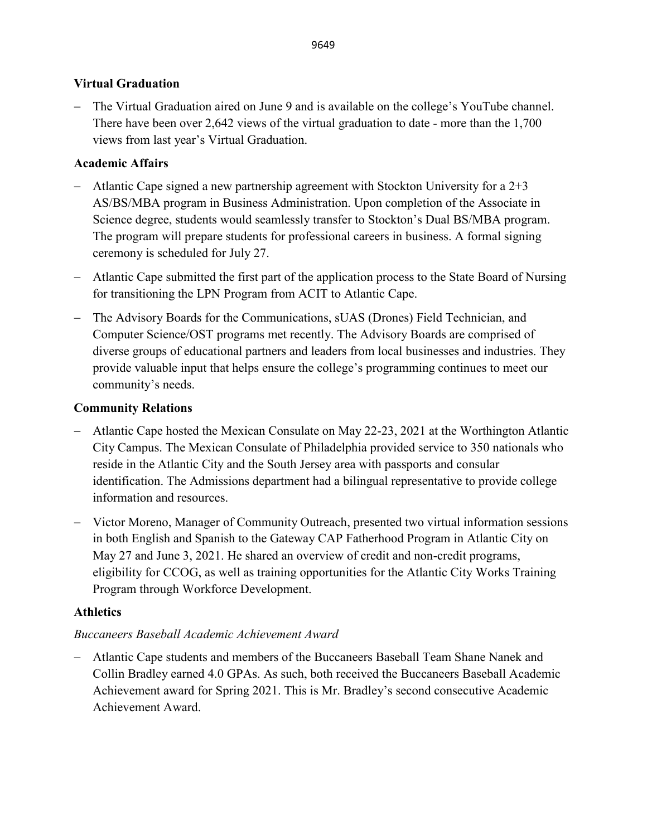## **Virtual Graduation**

− The Virtual Graduation aired on June 9 and is available on the college's YouTube channel. There have been over 2,642 views of the virtual graduation to date - more than the 1,700 views from last year's Virtual Graduation.

## **Academic Affairs**

- − Atlantic Cape signed a new partnership agreement with Stockton University for a 2+3 AS/BS/MBA program in Business Administration. Upon completion of the Associate in Science degree, students would seamlessly transfer to Stockton's Dual BS/MBA program. The program will prepare students for professional careers in business. A formal signing ceremony is scheduled for July 27.
- − Atlantic Cape submitted the first part of the application process to the State Board of Nursing for transitioning the LPN Program from ACIT to Atlantic Cape.
- − The Advisory Boards for the Communications, sUAS (Drones) Field Technician, and Computer Science/OST programs met recently. The Advisory Boards are comprised of diverse groups of educational partners and leaders from local businesses and industries. They provide valuable input that helps ensure the college's programming continues to meet our community's needs.

## **Community Relations**

- − Atlantic Cape hosted the Mexican Consulate on May 22-23, 2021 at the Worthington Atlantic City Campus. The Mexican Consulate of Philadelphia provided service to 350 nationals who reside in the Atlantic City and the South Jersey area with passports and consular identification. The Admissions department had a bilingual representative to provide college information and resources.
- − Victor Moreno, Manager of Community Outreach, presented two virtual information sessions in both English and Spanish to the Gateway CAP Fatherhood Program in Atlantic City on May 27 and June 3, 2021. He shared an overview of credit and non-credit programs, eligibility for CCOG, as well as training opportunities for the Atlantic City Works Training Program through Workforce Development.

## **Athletics**

### *Buccaneers Baseball Academic Achievement Award*

− Atlantic Cape students and members of the Buccaneers Baseball Team Shane Nanek and Collin Bradley earned 4.0 GPAs. As such, both received the Buccaneers Baseball Academic Achievement award for Spring 2021. This is Mr. Bradley's second consecutive Academic Achievement Award.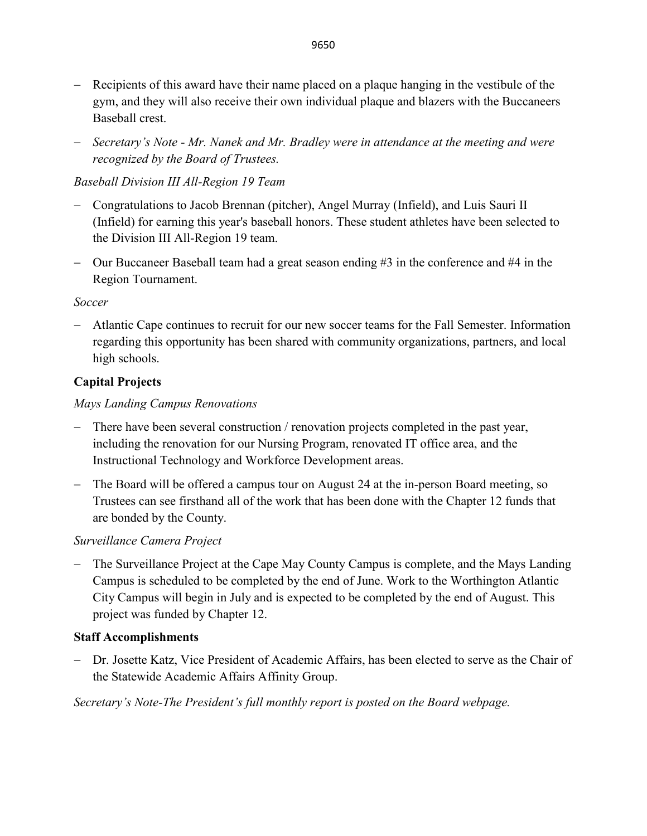- − Recipients of this award have their name placed on a plaque hanging in the vestibule of the gym, and they will also receive their own individual plaque and blazers with the Buccaneers Baseball crest.
- − *Secretary's Note Mr. Nanek and Mr. Bradley were in attendance at the meeting and were recognized by the Board of Trustees.*

# *Baseball Division III All-Region 19 Team*

- − Congratulations to Jacob Brennan (pitcher), Angel Murray (Infield), and Luis Sauri II (Infield) for earning this year's baseball honors. These student athletes have been selected to the Division III All-Region 19 team.
- − Our Buccaneer Baseball team had a great season ending #3 in the conference and #4 in the Region Tournament.

## *Soccer*

− Atlantic Cape continues to recruit for our new soccer teams for the Fall Semester. Information regarding this opportunity has been shared with community organizations, partners, and local high schools.

# **Capital Projects**

# *Mays Landing Campus Renovations*

- − There have been several construction / renovation projects completed in the past year, including the renovation for our Nursing Program, renovated IT office area, and the Instructional Technology and Workforce Development areas.
- − The Board will be offered a campus tour on August 24 at the in-person Board meeting, so Trustees can see firsthand all of the work that has been done with the Chapter 12 funds that are bonded by the County.

## *Surveillance Camera Project*

− The Surveillance Project at the Cape May County Campus is complete, and the Mays Landing Campus is scheduled to be completed by the end of June. Work to the Worthington Atlantic City Campus will begin in July and is expected to be completed by the end of August. This project was funded by Chapter 12.

## **Staff Accomplishments**

− Dr. Josette Katz, Vice President of Academic Affairs, has been elected to serve as the Chair of the Statewide Academic Affairs Affinity Group.

*Secretary's Note-The President's full monthly report is posted on the Board webpage.*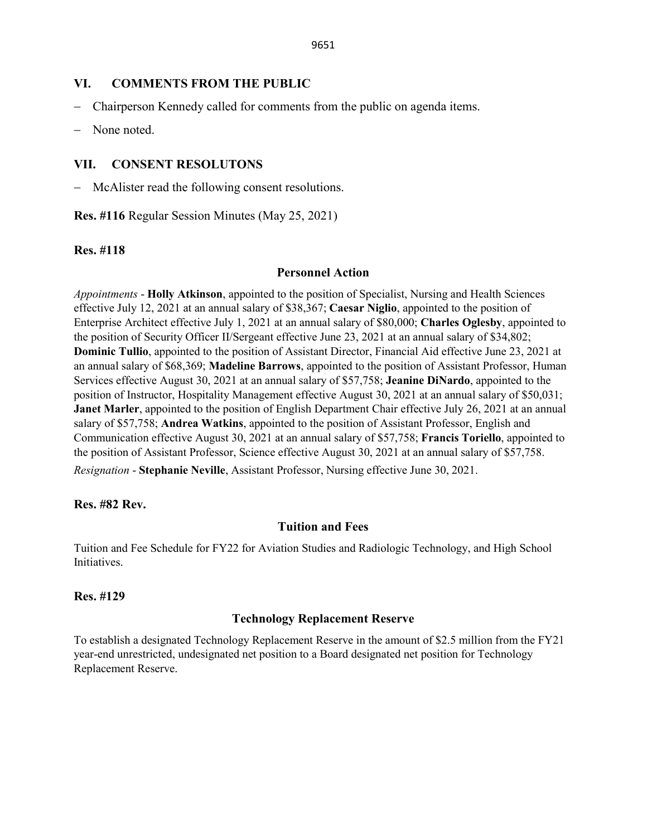#### **VI. COMMENTS FROM THE PUBLIC**

- − Chairperson Kennedy called for comments from the public on agenda items.
- − None noted.

### **VII. CONSENT RESOLUTONS**

McAlister read the following consent resolutions.

**Res. #116** Regular Session Minutes (May 25, 2021)

#### **Res. #118**

#### **Personnel Action**

*Appointments* - **Holly Atkinson**, appointed to the position of Specialist, Nursing and Health Sciences effective July 12, 2021 at an annual salary of \$38,367; **Caesar Niglio**, appointed to the position of Enterprise Architect effective July 1, 2021 at an annual salary of \$80,000; **Charles Oglesby**, appointed to the position of Security Officer II/Sergeant effective June 23, 2021 at an annual salary of \$34,802; **Dominic Tullio**, appointed to the position of Assistant Director, Financial Aid effective June 23, 2021 at an annual salary of \$68,369; **Madeline Barrows**, appointed to the position of Assistant Professor, Human Services effective August 30, 2021 at an annual salary of \$57,758; **Jeanine DiNardo**, appointed to the position of Instructor, Hospitality Management effective August 30, 2021 at an annual salary of \$50,031; **Janet Marler**, appointed to the position of English Department Chair effective July 26, 2021 at an annual salary of \$57,758; **Andrea Watkins**, appointed to the position of Assistant Professor, English and Communication effective August 30, 2021 at an annual salary of \$57,758; **Francis Toriello**, appointed to the position of Assistant Professor, Science effective August 30, 2021 at an annual salary of \$57,758. *Resignation* - **Stephanie Neville**, Assistant Professor, Nursing effective June 30, 2021.

#### **Res. #82 Rev.**

### **Tuition and Fees**

Tuition and Fee Schedule for FY22 for Aviation Studies and Radiologic Technology, and High School Initiatives.

#### **Res. #129**

### **Technology Replacement Reserve**

To establish a designated Technology Replacement Reserve in the amount of \$2.5 million from the FY21 year-end unrestricted, undesignated net position to a Board designated net position for Technology Replacement Reserve.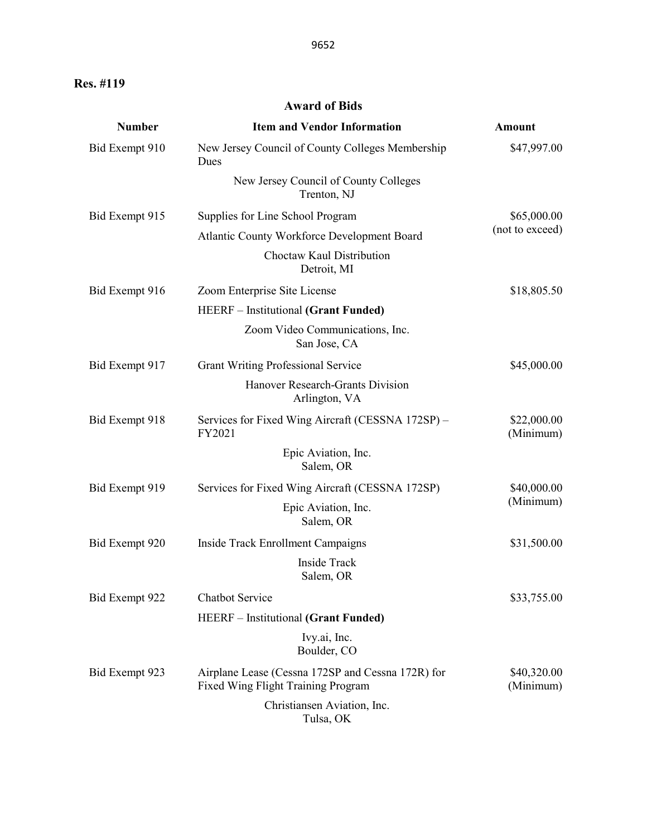**Res. #119** 

## **Award of Bids**

| <b>Number</b>  | <b>Item and Vendor Information</b>                                                      | <b>Amount</b>            |
|----------------|-----------------------------------------------------------------------------------------|--------------------------|
| Bid Exempt 910 | New Jersey Council of County Colleges Membership<br>Dues                                | \$47,997.00              |
|                | New Jersey Council of County Colleges<br>Trenton, NJ                                    |                          |
| Bid Exempt 915 | Supplies for Line School Program                                                        | \$65,000.00              |
|                | Atlantic County Workforce Development Board                                             | (not to exceed)          |
|                | Choctaw Kaul Distribution<br>Detroit, MI                                                |                          |
| Bid Exempt 916 | Zoom Enterprise Site License                                                            | \$18,805.50              |
|                | <b>HEERF</b> – Institutional (Grant Funded)                                             |                          |
|                | Zoom Video Communications, Inc.<br>San Jose, CA                                         |                          |
| Bid Exempt 917 | <b>Grant Writing Professional Service</b>                                               | \$45,000.00              |
|                | Hanover Research-Grants Division<br>Arlington, VA                                       |                          |
| Bid Exempt 918 | Services for Fixed Wing Aircraft (CESSNA 172SP) –<br>FY2021                             | \$22,000.00<br>(Minimum) |
|                | Epic Aviation, Inc.<br>Salem, OR                                                        |                          |
| Bid Exempt 919 | Services for Fixed Wing Aircraft (CESSNA 172SP)                                         | \$40,000.00              |
|                | Epic Aviation, Inc.<br>Salem, OR                                                        | (Minimum)                |
| Bid Exempt 920 | Inside Track Enrollment Campaigns                                                       | \$31,500.00              |
|                | Inside Track<br>Salem, OR                                                               |                          |
| Bid Exempt 922 | Chatbot Service                                                                         | \$33,755.00              |
|                | <b>HEERF</b> – Institutional (Grant Funded)                                             |                          |
|                | Ivy.ai, Inc.<br>Boulder, CO                                                             |                          |
| Bid Exempt 923 | Airplane Lease (Cessna 172SP and Cessna 172R) for<br>Fixed Wing Flight Training Program | \$40,320.00<br>(Minimum) |
|                | Christiansen Aviation, Inc.<br>Tulsa, OK                                                |                          |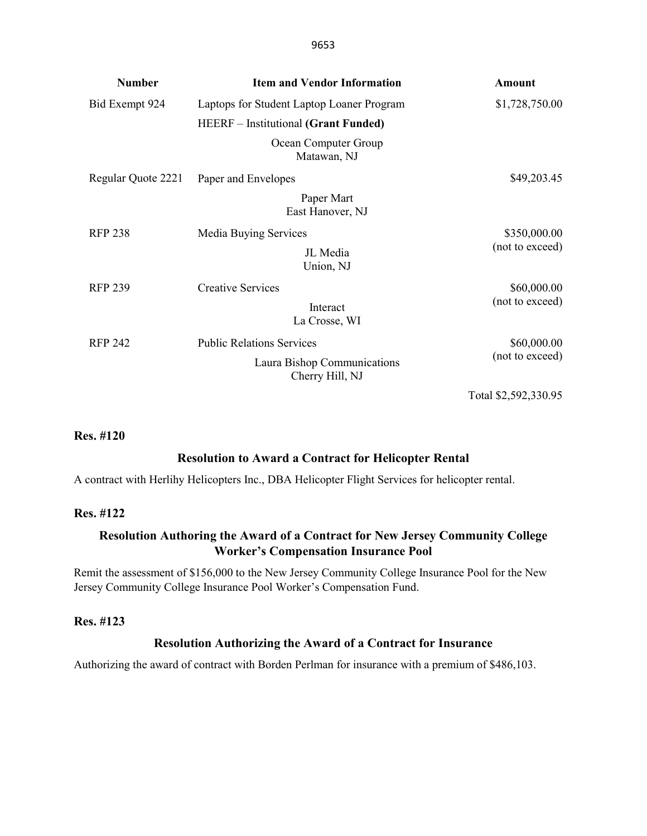| <b>Number</b>      | <b>Item and Vendor Information</b>             | <b>Amount</b>   |
|--------------------|------------------------------------------------|-----------------|
| Bid Exempt 924     | Laptops for Student Laptop Loaner Program      | \$1,728,750.00  |
|                    | <b>HEERF</b> – Institutional (Grant Funded)    |                 |
|                    | Ocean Computer Group<br>Matawan, NJ            |                 |
| Regular Quote 2221 | Paper and Envelopes                            | \$49,203.45     |
|                    | Paper Mart<br>East Hanover, NJ                 |                 |
| <b>RFP 238</b>     | Media Buying Services                          | \$350,000.00    |
|                    | JL Media<br>Union, NJ                          | (not to exceed) |
| <b>RFP 239</b>     | <b>Creative Services</b>                       | \$60,000.00     |
|                    | Interact<br>La Crosse, WI                      | (not to exceed) |
| <b>RFP 242</b>     | <b>Public Relations Services</b>               | \$60,000.00     |
|                    | Laura Bishop Communications<br>Cherry Hill, NJ | (not to exceed) |

Total \$2,592,330.95

#### **Res. #120**

#### **Resolution to Award a Contract for Helicopter Rental**

A contract with Herlihy Helicopters Inc., DBA Helicopter Flight Services for helicopter rental.

#### **Res. #122**

## **Resolution Authoring the Award of a Contract for New Jersey Community College Worker's Compensation Insurance Pool**

Remit the assessment of \$156,000 to the New Jersey Community College Insurance Pool for the New Jersey Community College Insurance Pool Worker's Compensation Fund.

#### **Res. #123**

#### **Resolution Authorizing the Award of a Contract for Insurance**

Authorizing the award of contract with Borden Perlman for insurance with a premium of \$486,103.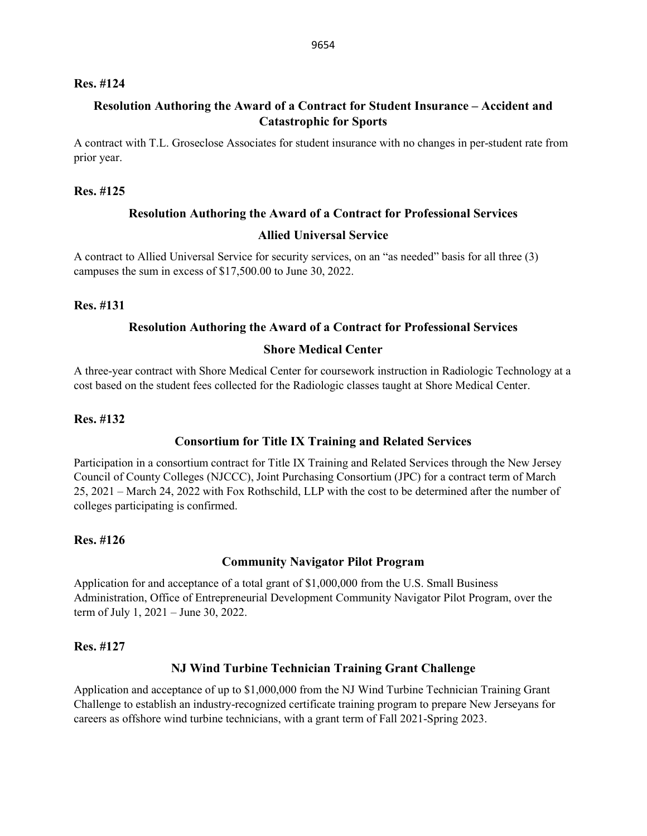#### **Res. #124**

## **Resolution Authoring the Award of a Contract for Student Insurance – Accident and Catastrophic for Sports**

A contract with T.L. Groseclose Associates for student insurance with no changes in per-student rate from prior year.

#### **Res. #125**

### **Resolution Authoring the Award of a Contract for Professional Services**

#### **Allied Universal Service**

A contract to Allied Universal Service for security services, on an "as needed" basis for all three (3) campuses the sum in excess of \$17,500.00 to June 30, 2022.

#### **Res. #131**

#### **Resolution Authoring the Award of a Contract for Professional Services**

#### **Shore Medical Center**

A three-year contract with Shore Medical Center for coursework instruction in Radiologic Technology at a cost based on the student fees collected for the Radiologic classes taught at Shore Medical Center.

#### **Res. #132**

### **Consortium for Title IX Training and Related Services**

Participation in a consortium contract for Title IX Training and Related Services through the New Jersey Council of County Colleges (NJCCC), Joint Purchasing Consortium (JPC) for a contract term of March 25, 2021 – March 24, 2022 with Fox Rothschild, LLP with the cost to be determined after the number of colleges participating is confirmed.

### **Res. #126**

#### **Community Navigator Pilot Program**

Application for and acceptance of a total grant of \$1,000,000 from the U.S. Small Business Administration, Office of Entrepreneurial Development Community Navigator Pilot Program, over the term of July 1, 2021 – June 30, 2022.

#### **Res. #127**

#### **NJ Wind Turbine Technician Training Grant Challenge**

Application and acceptance of up to \$1,000,000 from the NJ Wind Turbine Technician Training Grant Challenge to establish an industry-recognized certificate training program to prepare New Jerseyans for careers as offshore wind turbine technicians, with a grant term of Fall 2021-Spring 2023.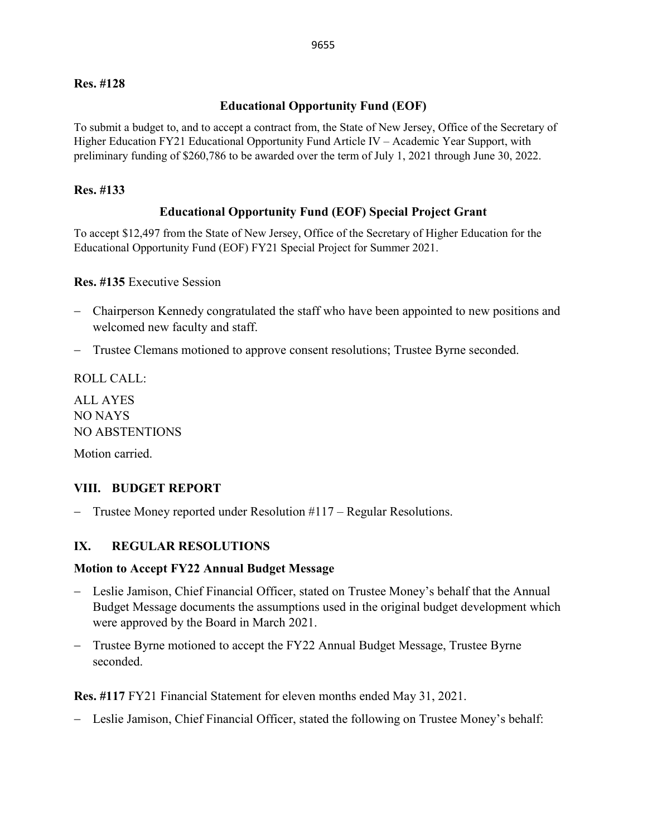### **Res. #128**

## **Educational Opportunity Fund (EOF)**

To submit a budget to, and to accept a contract from, the State of New Jersey, Office of the Secretary of Higher Education FY21 Educational Opportunity Fund Article IV – Academic Year Support, with preliminary funding of \$260,786 to be awarded over the term of July 1, 2021 through June 30, 2022.

### **Res. #133**

## **Educational Opportunity Fund (EOF) Special Project Grant**

To accept \$12,497 from the State of New Jersey, Office of the Secretary of Higher Education for the Educational Opportunity Fund (EOF) FY21 Special Project for Summer 2021.

#### **Res. #135** Executive Session

- − Chairperson Kennedy congratulated the staff who have been appointed to new positions and welcomed new faculty and staff.
- − Trustee Clemans motioned to approve consent resolutions; Trustee Byrne seconded.

ROLL CALL:

ALL AYES NO NAYS NO ABSTENTIONS

Motion carried.

### **VIII. BUDGET REPORT**

− Trustee Money reported under Resolution #117 – Regular Resolutions.

### **IX. REGULAR RESOLUTIONS**

#### **Motion to Accept FY22 Annual Budget Message**

- − Leslie Jamison, Chief Financial Officer, stated on Trustee Money's behalf that the Annual Budget Message documents the assumptions used in the original budget development which were approved by the Board in March 2021.
- Trustee Byrne motioned to accept the FY22 Annual Budget Message, Trustee Byrne seconded.

**Res. #117** FY21 Financial Statement for eleven months ended May 31, 2021.

− Leslie Jamison, Chief Financial Officer, stated the following on Trustee Money's behalf: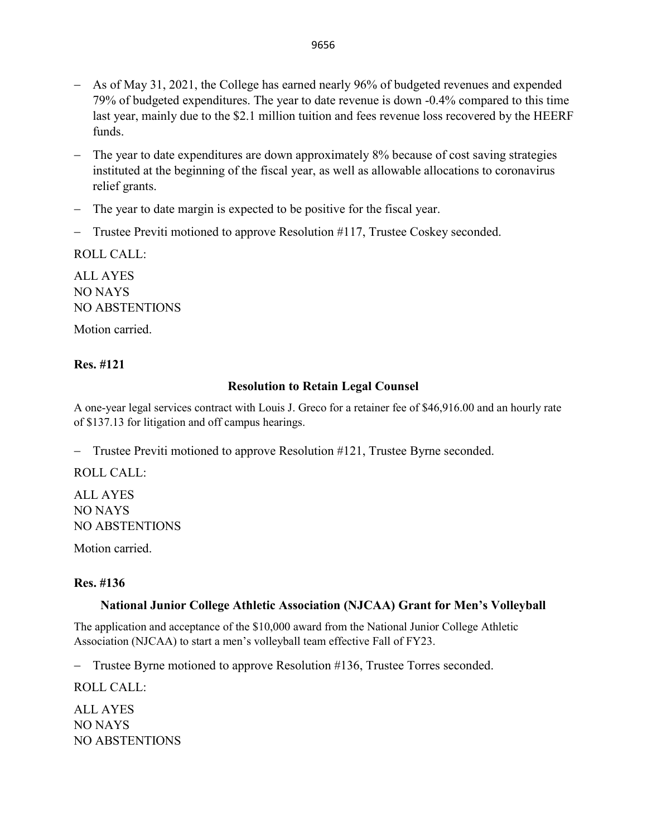- − The year to date expenditures are down approximately 8% because of cost saving strategies instituted at the beginning of the fiscal year, as well as allowable allocations to coronavirus relief grants.
- − The year to date margin is expected to be positive for the fiscal year.
- − Trustee Previti motioned to approve Resolution #117, Trustee Coskey seconded.

ROLL CALL:

ALL AYES NO NAYS NO ABSTENTIONS

Motion carried.

### **Res. #121**

### **Resolution to Retain Legal Counsel**

A one-year legal services contract with Louis J. Greco for a retainer fee of \$46,916.00 and an hourly rate of \$137.13 for litigation and off campus hearings.

− Trustee Previti motioned to approve Resolution #121, Trustee Byrne seconded.

ROLL CALL:

ALL AYES NO NAYS NO ABSTENTIONS

Motion carried.

### **Res. #136**

#### **National Junior College Athletic Association (NJCAA) Grant for Men's Volleyball**

The application and acceptance of the \$10,000 award from the National Junior College Athletic Association (NJCAA) to start a men's volleyball team effective Fall of FY23.

− Trustee Byrne motioned to approve Resolution #136, Trustee Torres seconded.

ROLL CALL:

ALL AYES NO NAYS NO ABSTENTIONS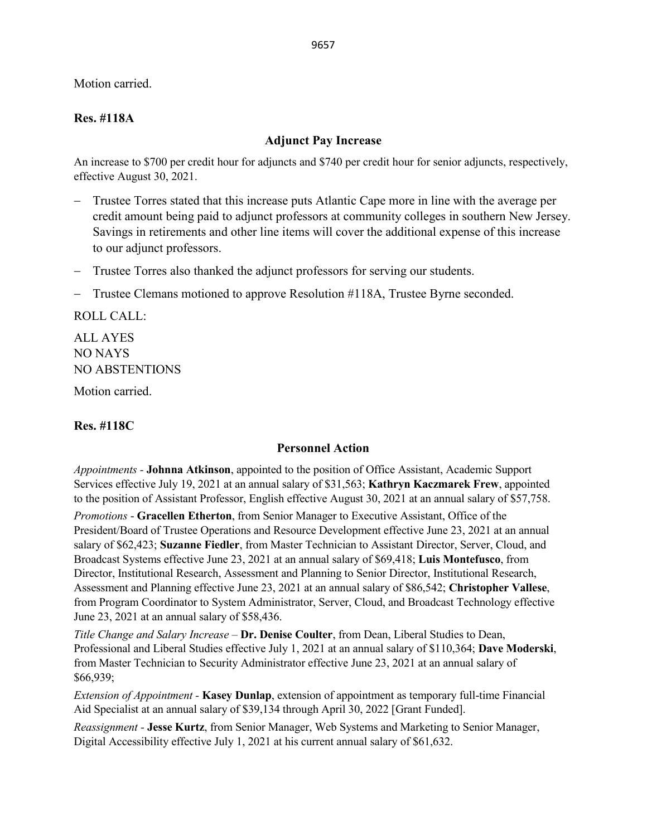Motion carried.

## **Res. #118A**

#### **Adjunct Pay Increase**

An increase to \$700 per credit hour for adjuncts and \$740 per credit hour for senior adjuncts, respectively, effective August 30, 2021.

- − Trustee Torres stated that this increase puts Atlantic Cape more in line with the average per credit amount being paid to adjunct professors at community colleges in southern New Jersey. Savings in retirements and other line items will cover the additional expense of this increase to our adjunct professors.
- − Trustee Torres also thanked the adjunct professors for serving our students.
- − Trustee Clemans motioned to approve Resolution #118A, Trustee Byrne seconded.

ROLL CALL:

ALL AYES NO NAYS NO ABSTENTIONS

Motion carried.

### **Res. #118C**

### **Personnel Action**

*Appointments -* **Johnna Atkinson**, appointed to the position of Office Assistant, Academic Support Services effective July 19, 2021 at an annual salary of \$31,563; **Kathryn Kaczmarek Frew**, appointed to the position of Assistant Professor, English effective August 30, 2021 at an annual salary of \$57,758.

*Promotions* - **Gracellen Etherton**, from Senior Manager to Executive Assistant, Office of the President/Board of Trustee Operations and Resource Development effective June 23, 2021 at an annual salary of \$62,423; **Suzanne Fiedler**, from Master Technician to Assistant Director, Server, Cloud, and Broadcast Systems effective June 23, 2021 at an annual salary of \$69,418; **Luis Montefusco**, from Director, Institutional Research, Assessment and Planning to Senior Director, Institutional Research, Assessment and Planning effective June 23, 2021 at an annual salary of \$86,542; **Christopher Vallese**, from Program Coordinator to System Administrator, Server, Cloud, and Broadcast Technology effective June 23, 2021 at an annual salary of \$58,436.

*Title Change and Salary Increase –* **Dr. Denise Coulter**, from Dean, Liberal Studies to Dean, Professional and Liberal Studies effective July 1, 2021 at an annual salary of \$110,364; **Dave Moderski**, from Master Technician to Security Administrator effective June 23, 2021 at an annual salary of \$66,939;

*Extension of Appointment -* **Kasey Dunlap**, extension of appointment as temporary full-time Financial Aid Specialist at an annual salary of \$39,134 through April 30, 2022 [Grant Funded].

*Reassignment -* **Jesse Kurtz**, from Senior Manager, Web Systems and Marketing to Senior Manager, Digital Accessibility effective July 1, 2021 at his current annual salary of \$61,632.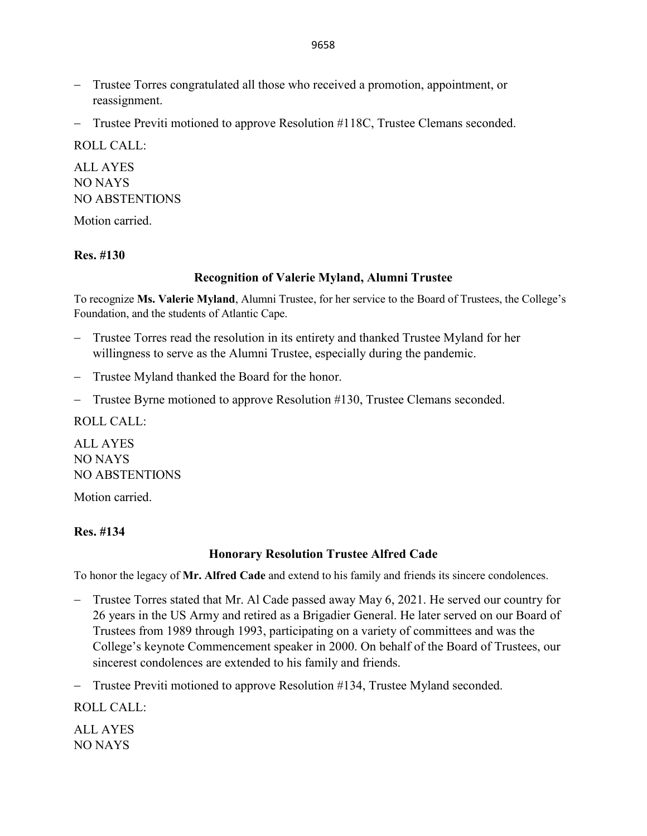- − Trustee Torres congratulated all those who received a promotion, appointment, or reassignment.
- − Trustee Previti motioned to approve Resolution #118C, Trustee Clemans seconded.

ROLL CALL:

ALL AYES NO NAYS NO ABSTENTIONS

Motion carried.

## **Res. #130**

### **Recognition of Valerie Myland, Alumni Trustee**

To recognize **Ms. Valerie Myland**, Alumni Trustee, for her service to the Board of Trustees, the College's Foundation, and the students of Atlantic Cape.

- − Trustee Torres read the resolution in its entirety and thanked Trustee Myland for her willingness to serve as the Alumni Trustee, especially during the pandemic.
- − Trustee Myland thanked the Board for the honor.
- − Trustee Byrne motioned to approve Resolution #130, Trustee Clemans seconded.

ROLL CALL:

ALL AYES NO NAYS NO ABSTENTIONS

Motion carried.

### **Res. #134**

### **Honorary Resolution Trustee Alfred Cade**

To honor the legacy of **Mr. Alfred Cade** and extend to his family and friends its sincere condolences.

- − Trustee Torres stated that Mr. Al Cade passed away May 6, 2021. He served our country for 26 years in the US Army and retired as a Brigadier General. He later served on our Board of Trustees from 1989 through 1993, participating on a variety of committees and was the College's keynote Commencement speaker in 2000. On behalf of the Board of Trustees, our sincerest condolences are extended to his family and friends.
- − Trustee Previti motioned to approve Resolution #134, Trustee Myland seconded.

ROLL CALL:

ALL AYES NO NAYS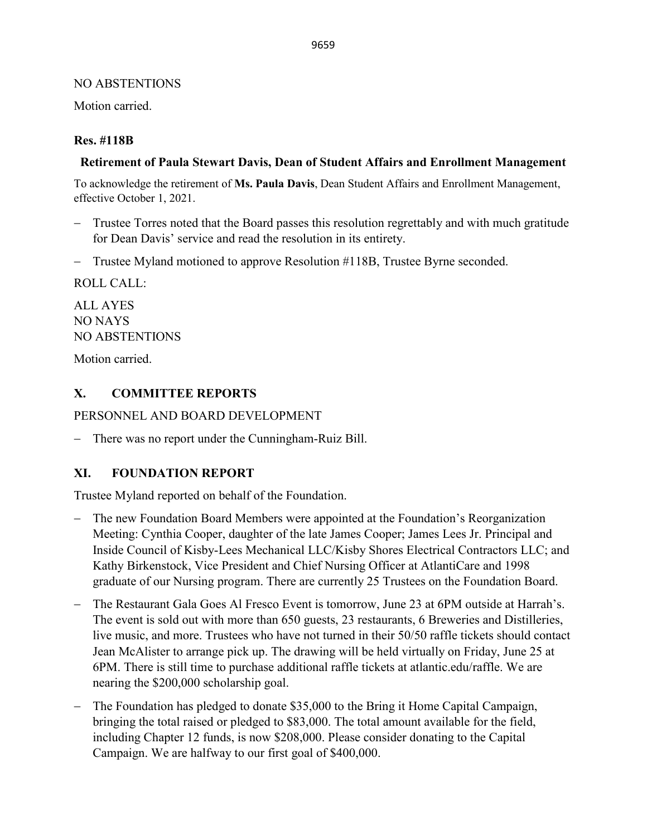## NO ABSTENTIONS

Motion carried.

## **Res. #118B**

## **Retirement of Paula Stewart Davis, Dean of Student Affairs and Enrollment Management**

To acknowledge the retirement of **Ms. Paula Davis**, Dean Student Affairs and Enrollment Management, effective October 1, 2021.

- − Trustee Torres noted that the Board passes this resolution regrettably and with much gratitude for Dean Davis' service and read the resolution in its entirety.
- − Trustee Myland motioned to approve Resolution #118B, Trustee Byrne seconded.

ROLL CALL:

ALL AYES NO NAYS NO ABSTENTIONS

Motion carried.

# **X. COMMITTEE REPORTS**

PERSONNEL AND BOARD DEVELOPMENT

− There was no report under the Cunningham-Ruiz Bill.

## **XI. FOUNDATION REPORT**

Trustee Myland reported on behalf of the Foundation.

- − The new Foundation Board Members were appointed at the Foundation's Reorganization Meeting: Cynthia Cooper, daughter of the late James Cooper; James Lees Jr. Principal and Inside Council of Kisby-Lees Mechanical LLC/Kisby Shores Electrical Contractors LLC; and Kathy Birkenstock, Vice President and Chief Nursing Officer at AtlantiCare and 1998 graduate of our Nursing program. There are currently 25 Trustees on the Foundation Board.
- The Restaurant Gala Goes Al Fresco Event is tomorrow, June 23 at 6PM outside at Harrah's. The event is sold out with more than 650 guests, 23 restaurants, 6 Breweries and Distilleries, live music, and more. Trustees who have not turned in their 50/50 raffle tickets should contact Jean McAlister to arrange pick up. The drawing will be held virtually on Friday, June 25 at 6PM. There is still time to purchase additional raffle tickets at atlantic.edu/raffle. We are nearing the \$200,000 scholarship goal.
- The Foundation has pledged to donate \$35,000 to the Bring it Home Capital Campaign, bringing the total raised or pledged to \$83,000. The total amount available for the field, including Chapter 12 funds, is now \$208,000. Please consider donating to the Capital Campaign. We are halfway to our first goal of \$400,000.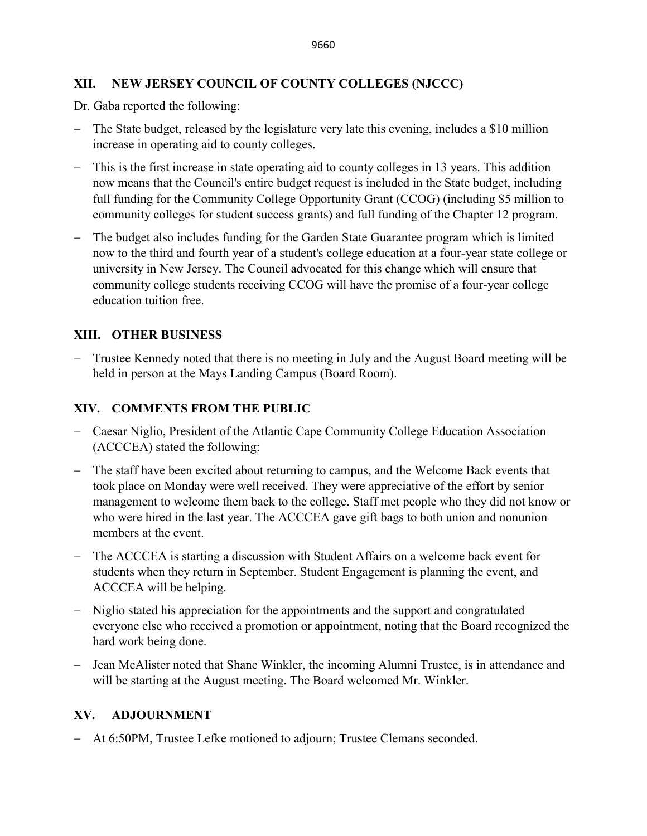# **XII. NEW JERSEY COUNCIL OF COUNTY COLLEGES (NJCCC)**

Dr. Gaba reported the following:

- − The State budget, released by the legislature very late this evening, includes a \$10 million increase in operating aid to county colleges.
- This is the first increase in state operating aid to county colleges in 13 years. This addition now means that the Council's entire budget request is included in the State budget, including full funding for the Community College Opportunity Grant (CCOG) (including \$5 million to community colleges for student success grants) and full funding of the Chapter 12 program.
- − The budget also includes funding for the Garden State Guarantee program which is limited now to the third and fourth year of a student's college education at a four-year state college or university in New Jersey. The Council advocated for this change which will ensure that community college students receiving CCOG will have the promise of a four-year college education tuition free.

# **XIII. OTHER BUSINESS**

− Trustee Kennedy noted that there is no meeting in July and the August Board meeting will be held in person at the Mays Landing Campus (Board Room).

# **XIV. COMMENTS FROM THE PUBLIC**

- − Caesar Niglio, President of the Atlantic Cape Community College Education Association (ACCCEA) stated the following:
- − The staff have been excited about returning to campus, and the Welcome Back events that took place on Monday were well received. They were appreciative of the effort by senior management to welcome them back to the college. Staff met people who they did not know or who were hired in the last year. The ACCCEA gave gift bags to both union and nonunion members at the event.
- − The ACCCEA is starting a discussion with Student Affairs on a welcome back event for students when they return in September. Student Engagement is planning the event, and ACCCEA will be helping.
- − Niglio stated his appreciation for the appointments and the support and congratulated everyone else who received a promotion or appointment, noting that the Board recognized the hard work being done.
- − Jean McAlister noted that Shane Winkler, the incoming Alumni Trustee, is in attendance and will be starting at the August meeting. The Board welcomed Mr. Winkler.

# **XV. ADJOURNMENT**

− At 6:50PM, Trustee Lefke motioned to adjourn; Trustee Clemans seconded.